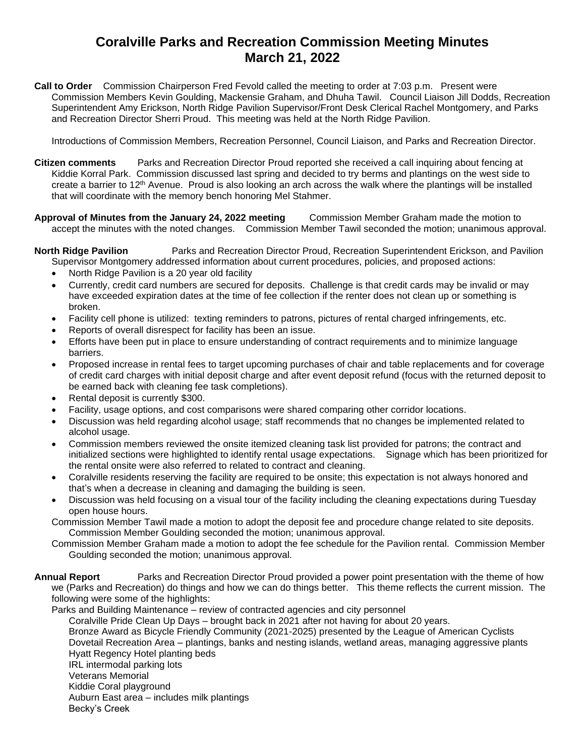## **Coralville Parks and Recreation Commission Meeting Minutes March 21, 2022**

**Call to Order** Commission Chairperson Fred Fevold called the meeting to order at 7:03 p.m. Present were Commission Members Kevin Goulding, Mackensie Graham, and Dhuha Tawil. Council Liaison Jill Dodds, Recreation Superintendent Amy Erickson, North Ridge Pavilion Supervisor/Front Desk Clerical Rachel Montgomery, and Parks and Recreation Director Sherri Proud. This meeting was held at the North Ridge Pavilion.

Introductions of Commission Members, Recreation Personnel, Council Liaison, and Parks and Recreation Director.

- **Citizen comments** Parks and Recreation Director Proud reported she received a call inquiring about fencing at Kiddie Korral Park. Commission discussed last spring and decided to try berms and plantings on the west side to create a barrier to 12th Avenue. Proud is also looking an arch across the walk where the plantings will be installed that will coordinate with the memory bench honoring Mel Stahmer.
- **Approval of Minutes from the January 24, 2022 meeting** Commission Member Graham made the motion to accept the minutes with the noted changes. Commission Member Tawil seconded the motion; unanimous approval.

**North Ridge Pavilion** Parks and Recreation Director Proud, Recreation Superintendent Erickson, and Pavilion Supervisor Montgomery addressed information about current procedures, policies, and proposed actions:

- North Ridge Pavilion is a 20 year old facility
- Currently, credit card numbers are secured for deposits. Challenge is that credit cards may be invalid or may have exceeded expiration dates at the time of fee collection if the renter does not clean up or something is broken.
- Facility cell phone is utilized: texting reminders to patrons, pictures of rental charged infringements, etc.
- Reports of overall disrespect for facility has been an issue.
- Efforts have been put in place to ensure understanding of contract requirements and to minimize language barriers.
- Proposed increase in rental fees to target upcoming purchases of chair and table replacements and for coverage of credit card charges with initial deposit charge and after event deposit refund (focus with the returned deposit to be earned back with cleaning fee task completions).
- Rental deposit is currently \$300.
- Facility, usage options, and cost comparisons were shared comparing other corridor locations.
- Discussion was held regarding alcohol usage; staff recommends that no changes be implemented related to alcohol usage.
- Commission members reviewed the onsite itemized cleaning task list provided for patrons; the contract and initialized sections were highlighted to identify rental usage expectations. Signage which has been prioritized for the rental onsite were also referred to related to contract and cleaning.
- Coralville residents reserving the facility are required to be onsite; this expectation is not always honored and that's when a decrease in cleaning and damaging the building is seen.
- Discussion was held focusing on a visual tour of the facility including the cleaning expectations during Tuesday open house hours.
- Commission Member Tawil made a motion to adopt the deposit fee and procedure change related to site deposits. Commission Member Goulding seconded the motion; unanimous approval.
- Commission Member Graham made a motion to adopt the fee schedule for the Pavilion rental. Commission Member Goulding seconded the motion; unanimous approval.

**Annual Report** Parks and Recreation Director Proud provided a power point presentation with the theme of how we (Parks and Recreation) do things and how we can do things better. This theme reflects the current mission. The following were some of the highlights:

Parks and Building Maintenance – review of contracted agencies and city personnel Coralville Pride Clean Up Days – brought back in 2021 after not having for about 20 years. Bronze Award as Bicycle Friendly Community (2021-2025) presented by the League of American Cyclists Dovetail Recreation Area – plantings, banks and nesting islands, wetland areas, managing aggressive plants Hyatt Regency Hotel planting beds IRL intermodal parking lots Veterans Memorial Kiddie Coral playground Auburn East area – includes milk plantings Becky's Creek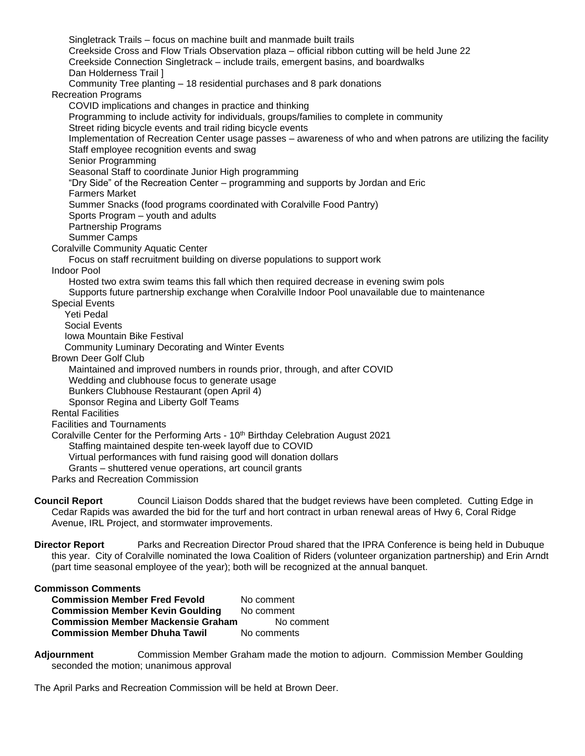Singletrack Trails – focus on machine built and manmade built trails Creekside Cross and Flow Trials Observation plaza – official ribbon cutting will be held June 22 Creekside Connection Singletrack – include trails, emergent basins, and boardwalks Dan Holderness Trail ] Community Tree planting – 18 residential purchases and 8 park donations Recreation Programs COVID implications and changes in practice and thinking Programming to include activity for individuals, groups/families to complete in community Street riding bicycle events and trail riding bicycle events Implementation of Recreation Center usage passes – awareness of who and when patrons are utilizing the facility Staff employee recognition events and swag Senior Programming Seasonal Staff to coordinate Junior High programming "Dry Side" of the Recreation Center – programming and supports by Jordan and Eric Farmers Market Summer Snacks (food programs coordinated with Coralville Food Pantry) Sports Program – youth and adults Partnership Programs Summer Camps Coralville Community Aquatic Center Focus on staff recruitment building on diverse populations to support work Indoor Pool Hosted two extra swim teams this fall which then required decrease in evening swim pols Supports future partnership exchange when Coralville Indoor Pool unavailable due to maintenance Special Events Yeti Pedal Social Events Iowa Mountain Bike Festival Community Luminary Decorating and Winter Events Brown Deer Golf Club Maintained and improved numbers in rounds prior, through, and after COVID Wedding and clubhouse focus to generate usage Bunkers Clubhouse Restaurant (open April 4) Sponsor Regina and Liberty Golf Teams Rental Facilities Facilities and Tournaments Coralville Center for the Performing Arts - 10th Birthday Celebration August 2021 Staffing maintained despite ten-week layoff due to COVID Virtual performances with fund raising good will donation dollars Grants – shuttered venue operations, art council grants Parks and Recreation Commission

**Council Report** Council Liaison Dodds shared that the budget reviews have been completed. Cutting Edge in Cedar Rapids was awarded the bid for the turf and hort contract in urban renewal areas of Hwy 6, Coral Ridge Avenue, IRL Project, and stormwater improvements.

**Director Report** Parks and Recreation Director Proud shared that the IPRA Conference is being held in Dubuque this year. City of Coralville nominated the Iowa Coalition of Riders (volunteer organization partnership) and Erin Arndt (part time seasonal employee of the year); both will be recognized at the annual banquet.

## **Commisson Comments**

**Commission Member Fred Fevold** No comment **Commission Member Kevin Goulding** No comment<br>**Commission Member Mackensie Graham** No comment **Commission Member Mackensie Graham Commission Member Dhuha Tawil** No comments

**Adjournment** Commission Member Graham made the motion to adjourn. Commission Member Goulding seconded the motion; unanimous approval

The April Parks and Recreation Commission will be held at Brown Deer.